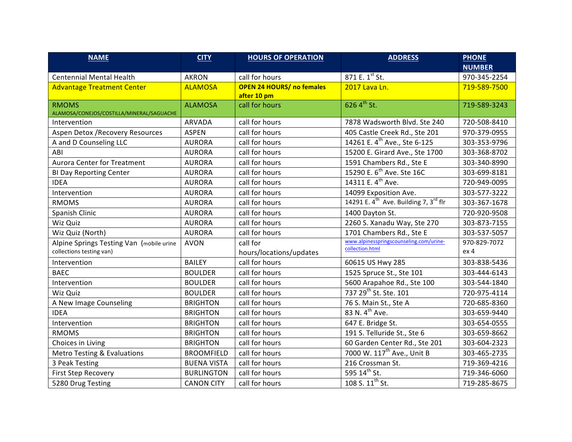| <b>NAME</b>                                                          | <b>CITY</b>        | <b>HOURS OF OPERATION</b>                       | <b>ADDRESS</b>                                                | <b>PHONE</b>         |
|----------------------------------------------------------------------|--------------------|-------------------------------------------------|---------------------------------------------------------------|----------------------|
|                                                                      |                    |                                                 |                                                               | <b>NUMBER</b>        |
| <b>Centennial Mental Health</b>                                      | <b>AKRON</b>       | call for hours                                  | 871 E. 1st St.                                                | 970-345-2254         |
| <b>Advantage Treatment Center</b>                                    | <b>ALAMOSA</b>     | <b>OPEN 24 HOURS/ no females</b><br>after 10 pm | 2017 Lava Ln.                                                 | 719-589-7500         |
| <b>RMOMS</b><br>ALAMOSA/CONEJOS/COSTILLA/MINERAL/SAGUACHE            | <b>ALAMOSA</b>     | call for hours                                  | 626 $4^{th}$ St.                                              | 719-589-3243         |
| Intervention                                                         | <b>ARVADA</b>      | call for hours                                  | 7878 Wadsworth Blvd. Ste 240                                  | 720-508-8410         |
| Aspen Detox / Recovery Resources                                     | <b>ASPEN</b>       | call for hours                                  | 405 Castle Creek Rd., Ste 201                                 | 970-379-0955         |
| A and D Counseling LLC                                               | <b>AURORA</b>      | call for hours                                  | 14261 E. 4 <sup>th</sup> Ave., Ste 6-125                      | 303-353-9796         |
| ABI                                                                  | <b>AURORA</b>      | call for hours                                  | 15200 E. Girard Ave., Ste 1700                                | 303-368-8702         |
| <b>Aurora Center for Treatment</b>                                   | <b>AURORA</b>      | call for hours                                  | 1591 Chambers Rd., Ste E                                      | 303-340-8990         |
| <b>BI Day Reporting Center</b>                                       | <b>AURORA</b>      | call for hours                                  | 15290 E. 6 <sup>th</sup> Ave. Ste 16C                         | 303-699-8181         |
| <b>IDEA</b>                                                          | <b>AURORA</b>      | call for hours                                  | 14311 E. 4 <sup>th</sup> Ave.                                 | 720-949-0095         |
| Intervention                                                         | <b>AURORA</b>      | call for hours                                  | 14099 Exposition Ave.                                         | 303-577-3222         |
| <b>RMOMS</b>                                                         | <b>AURORA</b>      | call for hours                                  | 14291 E. $4^{\text{th}}$ Ave. Building 7, 3 <sup>rd</sup> flr | 303-367-1678         |
| Spanish Clinic                                                       | <b>AURORA</b>      | call for hours                                  | 1400 Dayton St.                                               | 720-920-9508         |
| Wiz Quiz                                                             | <b>AURORA</b>      | call for hours                                  | 2260 S. Xanadu Way, Ste 270                                   | 303-873-7155         |
| Wiz Quiz (North)                                                     | <b>AURORA</b>      | call for hours                                  | 1701 Chambers Rd., Ste E                                      | 303-537-5057         |
| Alpine Springs Testing Van (mobile urine<br>collections testing van) | <b>AVON</b>        | call for<br>hours/locations/updates             | www.alpinesspringscounseling.com/urine-<br>collection.html    | 970-829-7072<br>ex 4 |
| Intervention                                                         | <b>BAILEY</b>      | call for hours                                  | 60615 US Hwy 285                                              | 303-838-5436         |
| <b>BAEC</b>                                                          | <b>BOULDER</b>     | call for hours                                  | 1525 Spruce St., Ste 101                                      | 303-444-6143         |
| Intervention                                                         | <b>BOULDER</b>     | call for hours                                  | 5600 Arapahoe Rd., Ste 100                                    | 303-544-1840         |
| Wiz Quiz                                                             | <b>BOULDER</b>     | call for hours                                  | 737 29 <sup>th</sup> St. Ste. 101                             | 720-975-4114         |
| A New Image Counseling                                               | <b>BRIGHTON</b>    | call for hours                                  | 76 S. Main St., Ste A                                         | 720-685-8360         |
| <b>IDEA</b>                                                          | <b>BRIGHTON</b>    | call for hours                                  | 83 N. 4 <sup>th</sup> Ave.                                    | 303-659-9440         |
| Intervention                                                         | <b>BRIGHTON</b>    | call for hours                                  | 647 E. Bridge St.                                             | 303-654-0555         |
| <b>RMOMS</b>                                                         | <b>BRIGHTON</b>    | call for hours                                  | 191 S. Telluride St., Ste 6                                   | 303-659-8662         |
| Choices in Living                                                    | <b>BRIGHTON</b>    | call for hours                                  | 60 Garden Center Rd., Ste 201                                 | 303-604-2323         |
| <b>Metro Testing &amp; Evaluations</b>                               | <b>BROOMFIELD</b>  | call for hours                                  | 7000 W. 117 <sup>th</sup> Ave., Unit B                        | 303-465-2735         |
| 3 Peak Testing                                                       | <b>BUENA VISTA</b> | call for hours                                  | 216 Crossman St.                                              | 719-369-4216         |
| First Step Recovery                                                  | <b>BURLINGTON</b>  | call for hours                                  | 595 14 <sup>th</sup> St.                                      | 719-346-6060         |
| 5280 Drug Testing                                                    | <b>CANON CITY</b>  | call for hours                                  | 108 S. 11 <sup>th</sup> St.                                   | 719-285-8675         |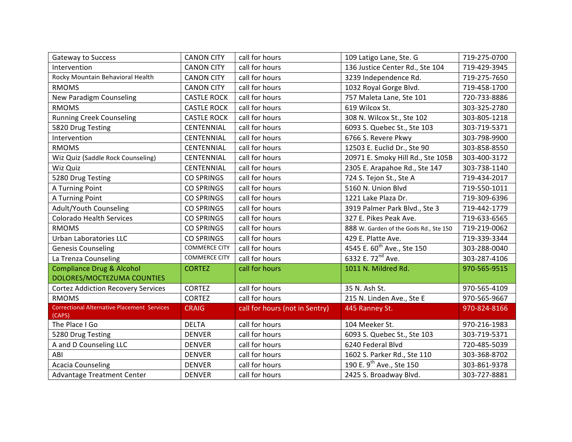| <b>Gateway to Success</b>                          | <b>CANON CITY</b>    | call for hours                 | 109 Latigo Lane, Ste. G                | 719-275-0700 |
|----------------------------------------------------|----------------------|--------------------------------|----------------------------------------|--------------|
| Intervention                                       | <b>CANON CITY</b>    | call for hours                 | 136 Justice Center Rd., Ste 104        | 719-429-3945 |
| Rocky Mountain Behavioral Health                   | <b>CANON CITY</b>    | call for hours                 | 3239 Independence Rd.                  | 719-275-7650 |
| <b>RMOMS</b>                                       | <b>CANON CITY</b>    | call for hours                 | 1032 Royal Gorge Blvd.                 | 719-458-1700 |
| New Paradigm Counseling                            | <b>CASTLE ROCK</b>   | call for hours                 | 757 Maleta Lane, Ste 101               | 720-733-8886 |
| <b>RMOMS</b>                                       | <b>CASTLE ROCK</b>   | call for hours                 | 619 Wilcox St.                         | 303-325-2780 |
| <b>Running Creek Counseling</b>                    | <b>CASTLE ROCK</b>   | call for hours                 | 308 N. Wilcox St., Ste 102             | 303-805-1218 |
| 5820 Drug Testing                                  | <b>CENTENNIAL</b>    | call for hours                 | 6093 S. Quebec St., Ste 103            | 303-719-5371 |
| Intervention                                       | CENTENNIAL           | call for hours                 | 6766 S. Revere Pkwy                    | 303-798-9900 |
| <b>RMOMS</b>                                       | CENTENNIAL           | call for hours                 | 12503 E. Euclid Dr., Ste 90            | 303-858-8550 |
| Wiz Quiz (Saddle Rock Counseling)                  | CENTENNIAL           | call for hours                 | 20971 E. Smoky Hill Rd., Ste 105B      | 303-400-3172 |
| Wiz Quiz                                           | CENTENNIAL           | call for hours                 | 2305 E. Arapahoe Rd., Ste 147          | 303-738-1140 |
| 5280 Drug Testing                                  | <b>CO SPRINGS</b>    | call for hours                 | 724 S. Tejon St., Ste A                | 719-434-2017 |
| A Turning Point                                    | <b>CO SPRINGS</b>    | call for hours                 | 5160 N. Union Blvd                     | 719-550-1011 |
| A Turning Point                                    | <b>CO SPRINGS</b>    | call for hours                 | 1221 Lake Plaza Dr.                    | 719-309-6396 |
| Adult/Youth Counseling                             | <b>CO SPRINGS</b>    | call for hours                 | 3919 Palmer Park Blvd., Ste 3          | 719-442-1779 |
| <b>Colorado Health Services</b>                    | <b>CO SPRINGS</b>    | call for hours                 | 327 E. Pikes Peak Ave.                 | 719-633-6565 |
| <b>RMOMS</b>                                       | <b>CO SPRINGS</b>    | call for hours                 | 888 W. Garden of the Gods Rd., Ste 150 | 719-219-0062 |
| <b>Urban Laboratories LLC</b>                      | <b>CO SPRINGS</b>    | call for hours                 | 429 E. Platte Ave.                     | 719-339-3344 |
| <b>Genesis Counseling</b>                          | <b>COMMERCE CITY</b> | call for hours                 | 4545 E. 60 <sup>th</sup> Ave., Ste 150 | 303-288-0040 |
| La Trenza Counseling                               | <b>COMMERCE CITY</b> | call for hours                 | 6332 E. 72 <sup>nd</sup> Ave.          | 303-287-4106 |
| <b>Compliance Drug &amp; Alcohol</b>               | <b>CORTEZ</b>        | call for hours                 | 1011 N. Mildred Rd.                    | 970-565-9515 |
| DOLORES/MOCTEZUMA COUNTIES                         |                      |                                |                                        |              |
| <b>Cortez Addiction Recovery Services</b>          | <b>CORTEZ</b>        | call for hours                 | 35 N. Ash St.                          | 970-565-4109 |
| <b>RMOMS</b>                                       | <b>CORTEZ</b>        | call for hours                 | 215 N. Linden Ave., Ste E              | 970-565-9667 |
| <b>Correctional Alternative Placement Services</b> | <b>CRAIG</b>         | call for hours (not in Sentry) | 445 Ranney St.                         | 970-824-8166 |
| (CAPS)                                             |                      |                                |                                        |              |
| The Place I Go                                     | <b>DELTA</b>         | call for hours                 | 104 Meeker St.                         | 970-216-1983 |
| 5280 Drug Testing                                  | <b>DENVER</b>        | call for hours                 | 6093 S. Quebec St., Ste 103            | 303-719-5371 |
| A and D Counseling LLC                             | <b>DENVER</b>        | call for hours                 | 6240 Federal Blvd                      | 720-485-5039 |
| ABI                                                | <b>DENVER</b>        | call for hours                 | 1602 S. Parker Rd., Ste 110            | 303-368-8702 |
| <b>Acacia Counseling</b>                           | <b>DENVER</b>        | call for hours                 | 190 E. 9 <sup>th</sup> Ave., Ste 150   | 303-861-9378 |
| Advantage Treatment Center                         | <b>DENVER</b>        | call for hours                 | 2425 S. Broadway Blvd.                 | 303-727-8881 |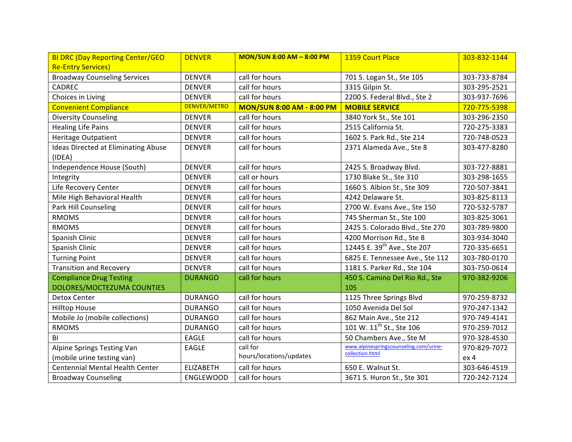| <b>BI DRC (Day Reporting Center/GEO)</b>   | <b>DENVER</b>       | <b>MON/SUN 8:00 AM - 8:00 PM</b> | 1359 Court Place                        | 303-832-1144    |
|--------------------------------------------|---------------------|----------------------------------|-----------------------------------------|-----------------|
| <b>Re-Entry Services)</b>                  |                     |                                  |                                         |                 |
| <b>Broadway Counseling Services</b>        | <b>DENVER</b>       | call for hours                   | 701 S. Logan St., Ste 105               | 303-733-8784    |
| <b>CADREC</b>                              | <b>DENVER</b>       | call for hours                   | 3315 Gilpin St.                         | 303-295-2521    |
| Choices in Living                          | <b>DENVER</b>       | call for hours                   | 2200 S. Federal Blvd., Ste 2            | 303-937-7696    |
| <b>Convenient Compliance</b>               | <b>DENVER/METRO</b> | <b>MON/SUN 8:00 AM - 8:00 PM</b> | <b>MOBILE SERVICE</b>                   | 720-775-5398    |
| <b>Diversity Counseling</b>                | <b>DENVER</b>       | call for hours                   | 3840 York St., Ste 101                  | 303-296-2350    |
| <b>Healing Life Pains</b>                  | <b>DENVER</b>       | call for hours                   | 2515 California St.                     | 720-275-3383    |
| <b>Heritage Outpatient</b>                 | <b>DENVER</b>       | call for hours                   | 1602 S. Park Rd., Ste 214               | 720-748-0523    |
| <b>Ideas Directed at Eliminating Abuse</b> | <b>DENVER</b>       | call for hours                   | 2371 Alameda Ave., Ste 8                | 303-477-8280    |
| (IDEA)                                     |                     |                                  |                                         |                 |
| Independence House (South)                 | <b>DENVER</b>       | call for hours                   | 2425 S. Broadway Blvd.                  | 303-727-8881    |
| Integrity                                  | <b>DENVER</b>       | call or hours                    | 1730 Blake St., Ste 310                 | 303-298-1655    |
| Life Recovery Center                       | <b>DENVER</b>       | call for hours                   | 1660 S. Albion St., Ste 309             | 720-507-3841    |
| Mile High Behavioral Health                | <b>DENVER</b>       | call for hours                   | 4242 Delaware St.                       | 303-825-8113    |
| Park Hill Counseling                       | <b>DENVER</b>       | call for hours                   | 2700 W. Evans Ave., Ste 150             | 720-532-5787    |
| <b>RMOMS</b>                               | <b>DENVER</b>       | call for hours                   | 745 Sherman St., Ste 100                | 303-825-3061    |
| <b>RMOMS</b>                               | <b>DENVER</b>       | call for hours                   | 2425 S. Colorado Blvd., Ste 270         | 303-789-9800    |
| Spanish Clinic                             | <b>DENVER</b>       | call for hours                   | 4200 Morrison Rd., Ste 8                | 303-934-3040    |
| Spanish Clinic                             | <b>DENVER</b>       | call for hours                   | 12445 E. 39 <sup>th</sup> Ave., Ste 207 | 720-335-6651    |
| <b>Turning Point</b>                       | <b>DENVER</b>       | call for hours                   | 6825 E. Tennessee Ave., Ste 112         | 303-780-0170    |
| <b>Transition and Recovery</b>             | <b>DENVER</b>       | call for hours                   | 1181 S. Parker Rd., Ste 104             | 303-750-0614    |
| <b>Compliance Drug Testing</b>             | <b>DURANGO</b>      | call for hours                   | 450 S. Camino Del Rio Rd., Ste          | 970-382-9206    |
| DOLORES/MOCTEZUMA COUNTIES                 |                     |                                  | 105                                     |                 |
| Detox Center                               | <b>DURANGO</b>      | call for hours                   | 1125 Three Springs Blvd                 | 970-259-8732    |
| <b>Hilltop House</b>                       | <b>DURANGO</b>      | call for hours                   | 1050 Avenida Del Sol                    | 970-247-1342    |
| Mobile Jo (mobile collections)             | <b>DURANGO</b>      | call for hours                   | 862 Main Ave., Ste 212                  | 970-749-4141    |
| <b>RMOMS</b>                               | <b>DURANGO</b>      | call for hours                   | 101 W. 11 <sup>th</sup> St., Ste 106    | 970-259-7012    |
| B1                                         | <b>EAGLE</b>        | call for hours                   | 50 Chambers Ave., Ste M                 | 970-328-4530    |
| Alpine Springs Testing Van                 | <b>EAGLE</b>        | call for                         | www.alpinespringscounseling.com/urine-  | 970-829-7072    |
| (mobile urine testing van)                 |                     | hours/locations/updates          | collection.html                         | ex <sub>4</sub> |
| <b>Centennial Mental Health Center</b>     | <b>ELIZABETH</b>    | call for hours                   | 650 E. Walnut St.                       | 303-646-4519    |
| <b>Broadway Counseling</b>                 | <b>ENGLEWOOD</b>    | call for hours                   | 3671 S. Huron St., Ste 301              | 720-242-7124    |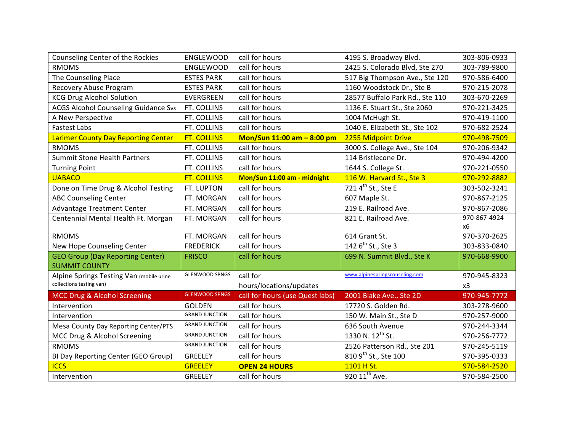| Counseling Center of the Rockies            | <b>ENGLEWOOD</b>      | call for hours                  | 4195 S. Broadway Blvd.           | 303-806-0933              |
|---------------------------------------------|-----------------------|---------------------------------|----------------------------------|---------------------------|
| <b>RMOMS</b>                                | <b>ENGLEWOOD</b>      | call for hours                  | 2425 S. Colorado Blvd, Ste 270   | 303-789-9800              |
| The Counseling Place                        | <b>ESTES PARK</b>     | call for hours                  | 517 Big Thompson Ave., Ste 120   | 970-586-6400              |
| Recovery Abuse Program                      | <b>ESTES PARK</b>     | call for hours                  | 1160 Woodstock Dr., Ste B        | 970-215-2078              |
| <b>KCG Drug Alcohol Solution</b>            | EVERGREEN             | call for hours                  | 28577 Buffalo Park Rd., Ste 110  | 303-670-2269              |
| <b>ACGS Alcohol Counseling Guidance Svs</b> | FT. COLLINS           | call for hours                  | 1136 E. Stuart St., Ste 2060     | 970-221-3425              |
| A New Perspective                           | FT. COLLINS           | call for hours                  | 1004 McHugh St.                  | 970-419-1100              |
| <b>Fastest Labs</b>                         | FT. COLLINS           | call for hours                  | 1040 E. Elizabeth St., Ste 102   | 970-682-2524              |
| <b>Larimer County Day Reporting Center</b>  | <b>FT. COLLINS</b>    | Mon/Sun 11:00 am - 8:00 pm      | 2255 Midpoint Drive              | 970-498-7509              |
| <b>RMOMS</b>                                | FT. COLLINS           | call for hours                  | 3000 S. College Ave., Ste 104    | 970-206-9342              |
| <b>Summit Stone Health Partners</b>         | FT. COLLINS           | call for hours                  | 114 Bristlecone Dr.              | 970-494-4200              |
| <b>Turning Point</b>                        | FT. COLLINS           | call for hours                  | 1644 S. College St.              | 970-221-0550              |
| <b>UABACO</b>                               | <b>FT. COLLINS</b>    | Mon/Sun 11:00 am - midnight     | 116 W. Harvard St., Ste 3        | 970-292-8882              |
| Done on Time Drug & Alcohol Testing         | FT. LUPTON            | call for hours                  | 721 4 <sup>th</sup> St., Ste E   | 303-502-3241              |
| <b>ABC Counseling Center</b>                | FT. MORGAN            | call for hours                  | 607 Maple St.                    | 970-867-2125              |
| <b>Advantage Treatment Center</b>           | FT. MORGAN            | call for hours                  | 219 E. Railroad Ave.             | 970-867-2086              |
| Centennial Mental Health Ft. Morgan         | FT. MORGAN            | call for hours                  | 821 E. Railroad Ave.             | 970-867-4924<br><b>x6</b> |
| <b>RMOMS</b>                                | FT. MORGAN            | call for hours                  | 614 Grant St.                    | 970-370-2625              |
| New Hope Counseling Center                  | <b>FREDERICK</b>      | call for hours                  | 142 6 <sup>th</sup> St., Ste 3   | 303-833-0840              |
| <b>GEO Group (Day Reporting Center)</b>     | <b>FRISCO</b>         | call for hours                  | 699 N. Summit Blvd., Ste K       | 970-668-9900              |
| <b>SUMMIT COUNTY</b>                        |                       |                                 |                                  |                           |
| Alpine Springs Testing Van (mobile urine    | <b>GLENWOOD SPNGS</b> | call for                        | www.alpinespringscouseling.com   | 970-945-8323              |
| collections testing van)                    |                       | hours/locations/updates         |                                  | x3                        |
| MCC Drug & Alcohol Screening                | <b>GLENWOOD SPNGS</b> | call for hours (use Quest labs) | 2001 Blake Ave., Ste 2D          | 970-945-7772              |
| Intervention                                | <b>GOLDEN</b>         | call for hours                  | 17720 S. Golden Rd.              | 303-278-9600              |
| Intervention                                | <b>GRAND JUNCTION</b> | call for hours                  | 150 W. Main St., Ste D           | 970-257-9000              |
| Mesa County Day Reporting Center/PTS        | <b>GRAND JUNCTION</b> | call for hours                  | 636 South Avenue                 | 970-244-3344              |
| MCC Drug & Alcohol Screening                | <b>GRAND JUNCTION</b> | call for hours                  | 1330 N. 12th St.                 | 970-256-7772              |
| <b>RMOMS</b>                                | <b>GRAND JUNCTION</b> | call for hours                  | 2526 Patterson Rd., Ste 201      | 970-245-5119              |
| BI Day Reporting Center (GEO Group)         | <b>GREELEY</b>        | call for hours                  | 810 9 <sup>th</sup> St., Ste 100 | 970-395-0333              |
| <b>ICCS</b>                                 | <b>GREELEY</b>        | <b>OPEN 24 HOURS</b>            | 1101 H St.                       | 970-584-2520              |
| Intervention                                | <b>GREELEY</b>        | call for hours                  | 920 11 <sup>th</sup> Ave.        | 970-584-2500              |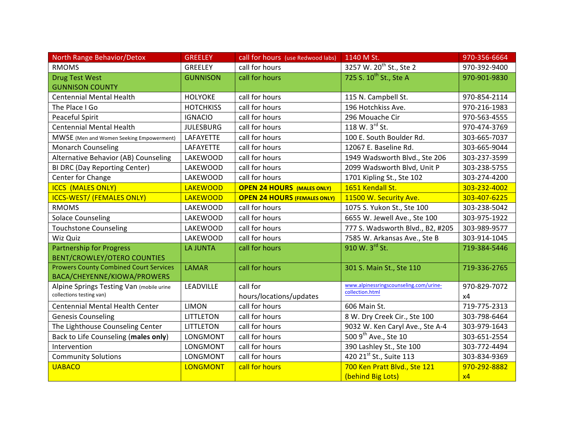| North Range Behavior/Detox                    | <b>GREELEY</b>   | call for hours (use Redwood labs)   | 1140 M St.                                                | 970-356-6664 |
|-----------------------------------------------|------------------|-------------------------------------|-----------------------------------------------------------|--------------|
| <b>RMOMS</b>                                  | <b>GREELEY</b>   | call for hours                      | 3257 W. 20 <sup>th</sup> St., Ste 2                       | 970-392-9400 |
| <b>Drug Test West</b>                         | <b>GUNNISON</b>  | call for hours                      | 725 S. 10 <sup>th</sup> St., Ste A                        | 970-901-9830 |
| <b>GUNNISON COUNTY</b>                        |                  |                                     |                                                           |              |
| <b>Centennial Mental Health</b>               | <b>HOLYOKE</b>   | call for hours                      | 115 N. Campbell St.                                       | 970-854-2114 |
| The Place I Go                                | <b>HOTCHKISS</b> | call for hours                      | 196 Hotchkiss Ave.                                        | 970-216-1983 |
| Peaceful Spirit                               | <b>IGNACIO</b>   | call for hours                      | 296 Mouache Cir                                           | 970-563-4555 |
| <b>Centennial Mental Health</b>               | <b>JULESBURG</b> | call for hours                      | 118 W. 3rd St.                                            | 970-474-3769 |
| MWSE (Men and Women Seeking Empowerment)      | LAFAYETTE        | call for hours                      | 100 E. South Boulder Rd.                                  | 303-665-7037 |
| <b>Monarch Counseling</b>                     | LAFAYETTE        | call for hours                      | 12067 E. Baseline Rd.                                     | 303-665-9044 |
| Alternative Behavior (AB) Counseling          | LAKEWOOD         | call for hours                      | 1949 Wadsworth Blvd., Ste 206                             | 303-237-3599 |
| <b>BI DRC (Day Reporting Center)</b>          | LAKEWOOD         | call for hours                      | 2099 Wadsworth Blvd, Unit P                               | 303-238-5755 |
| Center for Change                             | LAKEWOOD         | call for hours                      | 1701 Kipling St., Ste 102                                 | 303-274-4200 |
| <b>ICCS (MALES ONLY)</b>                      | <b>LAKEWOOD</b>  | <b>OPEN 24 HOURS (MALES ONLY)</b>   | 1651 Kendall St.                                          | 303-232-4002 |
| <b>ICCS-WEST/ (FEMALES ONLY)</b>              | <b>LAKEWOOD</b>  | <b>OPEN 24 HOURS (FEMALES ONLY)</b> | 11500 W. Security Ave.                                    | 303-407-6225 |
| <b>RMOMS</b>                                  | LAKEWOOD         | call for hours                      | 1075 S. Yukon St., Ste 100                                | 303-238-5042 |
| <b>Solace Counseling</b>                      | <b>LAKEWOOD</b>  | call for hours                      | 6655 W. Jewell Ave., Ste 100                              | 303-975-1922 |
| <b>Touchstone Counseling</b>                  | LAKEWOOD         | call for hours                      | 777 S. Wadsworth Blvd., B2, #205                          | 303-989-9577 |
| Wiz Quiz                                      | LAKEWOOD         | call for hours                      | 7585 W. Arkansas Ave., Ste B                              | 303-914-1045 |
| <b>Partnership for Progress</b>               | <b>LA JUNTA</b>  | call for hours                      | 910 W. 3rd St.                                            | 719-384-5446 |
| <b>BENT/CROWLEY/OTERO COUNTIES</b>            |                  |                                     |                                                           |              |
| <b>Prowers County Combined Court Services</b> | <b>LAMAR</b>     | call for hours                      | 301 S. Main St., Ste 110                                  | 719-336-2765 |
| BACA/CHEYENNE/KIOWA/PROWERS                   |                  |                                     |                                                           |              |
| Alpine Springs Testing Van (mobile urine      | <b>LEADVILLE</b> | call for                            | www.alpinessringscounseling.com/urine-<br>collection.html | 970-829-7072 |
| collections testing van)                      |                  | hours/locations/updates             |                                                           | х4           |
| <b>Centennial Mental Health Center</b>        | <b>LIMON</b>     | call for hours                      | 606 Main St.                                              | 719-775-2313 |
| <b>Genesis Counseling</b>                     | <b>LITTLETON</b> | call for hours                      | 8 W. Dry Creek Cir., Ste 100                              | 303-798-6464 |
| The Lighthouse Counseling Center              | <b>LITTLETON</b> | call for hours                      | 9032 W. Ken Caryl Ave., Ste A-4                           | 303-979-1643 |
| Back to Life Counseling (males only)          | LONGMONT         | call for hours                      | 500 9 <sup>th</sup> Ave., Ste 10                          | 303-651-2554 |
| Intervention                                  | <b>LONGMONT</b>  | call for hours                      | 390 Lashley St., Ste 100                                  | 303-772-4494 |
| <b>Community Solutions</b>                    | <b>LONGMONT</b>  | call for hours                      | 420 21st St., Suite 113                                   | 303-834-9369 |
| <b>UABACO</b>                                 | <b>LONGMONT</b>  | call for hours                      | 700 Ken Pratt Blvd., Ste 121                              | 970-292-8882 |
|                                               |                  |                                     | (behind Big Lots)                                         | x4           |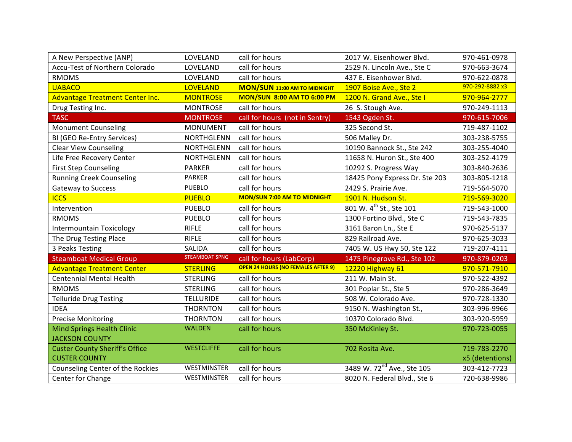| A New Perspective (ANP)               | LOVELAND              | call for hours                            | 2017 W. Eisenhower Blvd.               | 970-461-0978    |
|---------------------------------------|-----------------------|-------------------------------------------|----------------------------------------|-----------------|
| Accu-Test of Northern Colorado        | LOVELAND              | call for hours                            | 2529 N. Lincoln Ave., Ste C            | 970-663-3674    |
| <b>RMOMS</b>                          | LOVELAND              | call for hours                            | 437 E. Eisenhower Blvd.                | 970-622-0878    |
| <b>UABACO</b>                         | <b>LOVELAND</b>       | <b>MON/SUN 11:00 AM TO MIDNIGHT</b>       | 1907 Boise Ave., Ste 2                 | 970-292-8882 x3 |
| Advantage Treatment Center Inc.       | <b>MONTROSE</b>       | <b>MON/SUN 8:00 AM TO 6:00 PM</b>         | 1200 N. Grand Ave., Stell              | 970-964-2777    |
| Drug Testing Inc.                     | <b>MONTROSE</b>       | call for hours                            | 26 S. Stough Ave.                      | 970-249-1113    |
| <b>TASC</b>                           | <b>MONTROSE</b>       | call for hours (not in Sentry)            | 1543 Ogden St.                         | 970-615-7006    |
| <b>Monument Counseling</b>            | <b>MONUMENT</b>       | call for hours                            | 325 Second St.                         | 719-487-1102    |
| BI (GEO Re-Entry Services)            | <b>NORTHGLENN</b>     | call for hours                            | 506 Malley Dr.                         | 303-238-5755    |
| <b>Clear View Counseling</b>          | <b>NORTHGLENN</b>     | call for hours                            | 10190 Bannock St., Ste 242             | 303-255-4040    |
| Life Free Recovery Center             | <b>NORTHGLENN</b>     | call for hours                            | 11658 N. Huron St., Ste 400            | 303-252-4179    |
| <b>First Step Counseling</b>          | <b>PARKER</b>         | call for hours                            | 10292 S. Progress Way                  | 303-840-2636    |
| <b>Running Creek Counseling</b>       | <b>PARKER</b>         | call for hours                            | 18425 Pony Express Dr. Ste 203         | 303-805-1218    |
| <b>Gateway to Success</b>             | <b>PUEBLO</b>         | call for hours                            | 2429 S. Prairie Ave.                   | 719-564-5070    |
| <b>ICCS</b>                           | <b>PUEBLO</b>         | <b>MON/SUN 7:00 AM TO MIDNIGHT</b>        | 1901 N. Hudson St.                     | 719-569-3020    |
| Intervention                          | <b>PUEBLO</b>         | call for hours                            | 801 W. 4 <sup>th</sup> St., Ste 101    | 719-543-1000    |
| <b>RMOMS</b>                          | <b>PUEBLO</b>         | call for hours                            | 1300 Fortino Blvd., Ste C              | 719-543-7835    |
| <b>Intermountain Toxicology</b>       | <b>RIFLE</b>          | call for hours                            | 3161 Baron Ln., Ste E                  | 970-625-5137    |
| The Drug Testing Place                | <b>RIFLE</b>          | call for hours                            | 829 Railroad Ave.                      | 970-625-3033    |
| 3 Peaks Testing                       | SALIDA                | call for hours                            | 7405 W. US Hwy 50, Ste 122             | 719-207-4111    |
| <b>Steamboat Medical Group</b>        | <b>STEAMBOAT SPNG</b> | call for hours (LabCorp)                  | 1475 Pinegrove Rd., Ste 102            | 970-879-0203    |
| <b>Advantage Treatment Center</b>     | <b>STERLING</b>       | <b>OPEN 24 HOURS (NO FEMALES AFTER 9)</b> | 12220 Highway 61                       | 970-571-7910    |
| <b>Centennial Mental Health</b>       | <b>STERLING</b>       | call for hours                            | 211 W. Main St.                        | 970-522-4392    |
| <b>RMOMS</b>                          | <b>STERLING</b>       | call for hours                            | 301 Poplar St., Ste 5                  | 970-286-3649    |
| <b>Telluride Drug Testing</b>         | <b>TELLURIDE</b>      | call for hours                            | 508 W. Colorado Ave.                   | 970-728-1330    |
| <b>IDEA</b>                           | <b>THORNTON</b>       | call for hours                            | 9150 N. Washington St.,                | 303-996-9966    |
| <b>Precise Monitoring</b>             | <b>THORNTON</b>       | call for hours                            | 10370 Colorado Blvd.                   | 303-920-5959    |
| <b>Mind Springs Health Clinic</b>     | <b>WALDEN</b>         | call for hours                            | 350 McKinley St.                       | 970-723-0055    |
| <b>JACKSON COUNTY</b>                 |                       |                                           |                                        |                 |
| <b>Custer County Sheriff's Office</b> | <b>WESTCLIFFE</b>     | call for hours                            | 702 Rosita Ave.                        | 719-783-2270    |
| <b>CUSTER COUNTY</b>                  |                       |                                           |                                        | x5 (detentions) |
| Counseling Center of the Rockies      | WESTMINSTER           | call for hours                            | 3489 W. 72 <sup>nd</sup> Ave., Ste 105 | 303-412-7723    |
| Center for Change                     | WESTMINSTER           | call for hours                            | 8020 N. Federal Blvd., Ste 6           | 720-638-9986    |